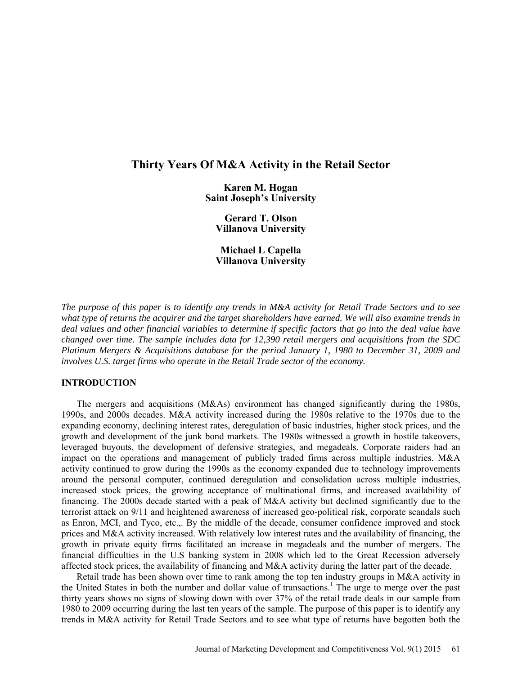# **Thirty Years Of M&A Activity in the Retail Sector**

**Karen M. Hogan Saint Joseph's University** 

**Gerard T. Olson Villanova University** 

**Michael L Capella Villanova University** 

*The purpose of this paper is to identify any trends in M&A activity for Retail Trade Sectors and to see what type of returns the acquirer and the target shareholders have earned. We will also examine trends in deal values and other financial variables to determine if specific factors that go into the deal value have changed over time. The sample includes data for 12,390 retail mergers and acquisitions from the SDC Platinum Mergers & Acquisitions database for the period January 1, 1980 to December 31, 2009 and involves U.S. target firms who operate in the Retail Trade sector of the economy.* 

#### **INTRODUCTION**

The mergers and acquisitions (M&As) environment has changed significantly during the 1980s, 1990s, and 2000s decades. M&A activity increased during the 1980s relative to the 1970s due to the expanding economy, declining interest rates, deregulation of basic industries, higher stock prices, and the growth and development of the junk bond markets. The 1980s witnessed a growth in hostile takeovers, leveraged buyouts, the development of defensive strategies, and megadeals. Corporate raiders had an impact on the operations and management of publicly traded firms across multiple industries. M&A activity continued to grow during the 1990s as the economy expanded due to technology improvements around the personal computer, continued deregulation and consolidation across multiple industries, increased stock prices, the growing acceptance of multinational firms, and increased availability of financing. The 2000s decade started with a peak of M&A activity but declined significantly due to the terrorist attack on 9/11 and heightened awareness of increased geo-political risk, corporate scandals such as Enron, MCI, and Tyco, etc.,. By the middle of the decade, consumer confidence improved and stock prices and M&A activity increased. With relatively low interest rates and the availability of financing, the growth in private equity firms facilitated an increase in megadeals and the number of mergers. The financial difficulties in the U.S banking system in 2008 which led to the Great Recession adversely affected stock prices, the availability of financing and M&A activity during the latter part of the decade.

Retail trade has been shown over time to rank among the top ten industry groups in M&A activity in the United States in both the number and dollar value of transactions.<sup>1</sup> The urge to merge over the past thirty years shows no signs of slowing down with over 37% of the retail trade deals in our sample from 1980 to 2009 occurring during the last ten years of the sample. The purpose of this paper is to identify any trends in M&A activity for Retail Trade Sectors and to see what type of returns have begotten both the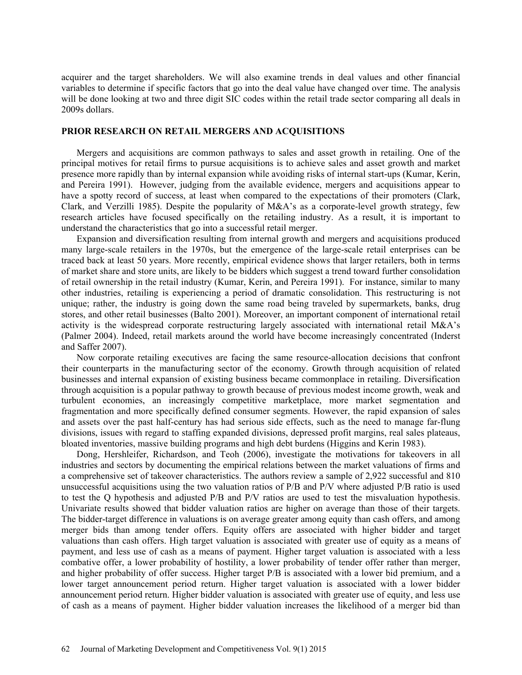acquirer and the target shareholders. We will also examine trends in deal values and other financial variables to determine if specific factors that go into the deal value have changed over time. The analysis will be done looking at two and three digit SIC codes within the retail trade sector comparing all deals in 2009s dollars.

## **PRIOR RESEARCH ON RETAIL MERGERS AND ACQUISITIONS**

Mergers and acquisitions are common pathways to sales and asset growth in retailing. One of the principal motives for retail firms to pursue acquisitions is to achieve sales and asset growth and market presence more rapidly than by internal expansion while avoiding risks of internal start-ups (Kumar, Kerin, and Pereira 1991). However, judging from the available evidence, mergers and acquisitions appear to have a spotty record of success, at least when compared to the expectations of their promoters (Clark, Clark, and Verzilli 1985). Despite the popularity of M&A's as a corporate-level growth strategy, few research articles have focused specifically on the retailing industry. As a result, it is important to understand the characteristics that go into a successful retail merger.

Expansion and diversification resulting from internal growth and mergers and acquisitions produced many large-scale retailers in the 1970s, but the emergence of the large-scale retail enterprises can be traced back at least 50 years. More recently, empirical evidence shows that larger retailers, both in terms of market share and store units, are likely to be bidders which suggest a trend toward further consolidation of retail ownership in the retail industry (Kumar, Kerin, and Pereira 1991). For instance, similar to many other industries, retailing is experiencing a period of dramatic consolidation. This restructuring is not unique; rather, the industry is going down the same road being traveled by supermarkets, banks, drug stores, and other retail businesses (Balto 2001). Moreover, an important component of international retail activity is the widespread corporate restructuring largely associated with international retail M&A's (Palmer 2004). Indeed, retail markets around the world have become increasingly concentrated (Inderst and Saffer 2007).

Now corporate retailing executives are facing the same resource-allocation decisions that confront their counterparts in the manufacturing sector of the economy. Growth through acquisition of related businesses and internal expansion of existing business became commonplace in retailing. Diversification through acquisition is a popular pathway to growth because of previous modest income growth, weak and turbulent economies, an increasingly competitive marketplace, more market segmentation and fragmentation and more specifically defined consumer segments. However, the rapid expansion of sales and assets over the past half-century has had serious side effects, such as the need to manage far-flung divisions, issues with regard to staffing expanded divisions, depressed profit margins, real sales plateaus, bloated inventories, massive building programs and high debt burdens (Higgins and Kerin 1983).

Dong, Hershleifer, Richardson, and Teoh (2006), investigate the motivations for takeovers in all industries and sectors by documenting the empirical relations between the market valuations of firms and a comprehensive set of takeover characteristics. The authors review a sample of 2,922 successful and 810 unsuccessful acquisitions using the two valuation ratios of P/B and P/V where adjusted P/B ratio is used to test the Q hypothesis and adjusted P/B and P/V ratios are used to test the misvaluation hypothesis. Univariate results showed that bidder valuation ratios are higher on average than those of their targets. The bidder-target difference in valuations is on average greater among equity than cash offers, and among merger bids than among tender offers. Equity offers are associated with higher bidder and target valuations than cash offers. High target valuation is associated with greater use of equity as a means of payment, and less use of cash as a means of payment. Higher target valuation is associated with a less combative offer, a lower probability of hostility, a lower probability of tender offer rather than merger, and higher probability of offer success. Higher target P/B is associated with a lower bid premium, and a lower target announcement period return. Higher target valuation is associated with a lower bidder announcement period return. Higher bidder valuation is associated with greater use of equity, and less use of cash as a means of payment. Higher bidder valuation increases the likelihood of a merger bid than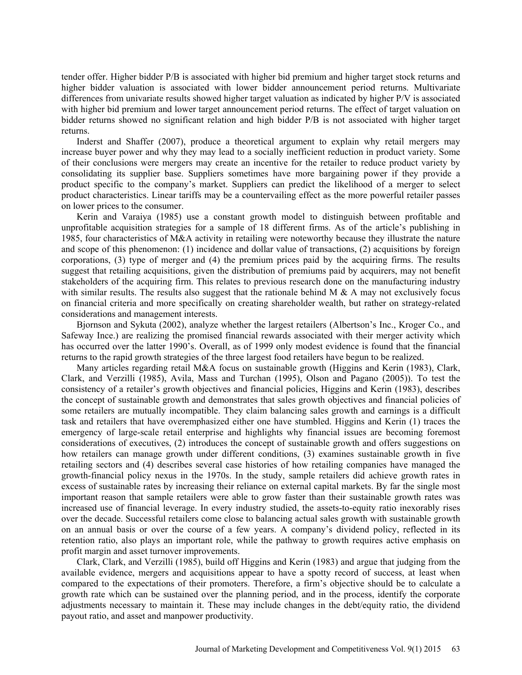tender offer. Higher bidder P/B is associated with higher bid premium and higher target stock returns and higher bidder valuation is associated with lower bidder announcement period returns. Multivariate differences from univariate results showed higher target valuation as indicated by higher P/V is associated with higher bid premium and lower target announcement period returns. The effect of target valuation on bidder returns showed no significant relation and high bidder P/B is not associated with higher target returns.

Inderst and Shaffer (2007), produce a theoretical argument to explain why retail mergers may increase buyer power and why they may lead to a socially inefficient reduction in product variety. Some of their conclusions were mergers may create an incentive for the retailer to reduce product variety by consolidating its supplier base. Suppliers sometimes have more bargaining power if they provide a product specific to the company's market. Suppliers can predict the likelihood of a merger to select product characteristics. Linear tariffs may be a countervailing effect as the more powerful retailer passes on lower prices to the consumer.

Kerin and Varaiya (1985) use a constant growth model to distinguish between profitable and unprofitable acquisition strategies for a sample of 18 different firms. As of the article's publishing in 1985, four characteristics of M&A activity in retailing were noteworthy because they illustrate the nature and scope of this phenomenon: (1) incidence and dollar value of transactions, (2) acquisitions by foreign corporations, (3) type of merger and (4) the premium prices paid by the acquiring firms. The results suggest that retailing acquisitions, given the distribution of premiums paid by acquirers, may not benefit stakeholders of the acquiring firm. This relates to previous research done on the manufacturing industry with similar results. The results also suggest that the rationale behind M  $\&$  A may not exclusively focus on financial criteria and more specifically on creating shareholder wealth, but rather on strategy-related considerations and management interests.

Bjornson and Sykuta (2002), analyze whether the largest retailers (Albertson's Inc., Kroger Co., and Safeway Ince.) are realizing the promised financial rewards associated with their merger activity which has occurred over the latter 1990's. Overall, as of 1999 only modest evidence is found that the financial returns to the rapid growth strategies of the three largest food retailers have begun to be realized.

Many articles regarding retail M&A focus on sustainable growth (Higgins and Kerin (1983), Clark, Clark, and Verzilli (1985), Avila, Mass and Turchan (1995), Olson and Pagano (2005)). To test the consistency of a retailer's growth objectives and financial policies, Higgins and Kerin (1983), describes the concept of sustainable growth and demonstrates that sales growth objectives and financial policies of some retailers are mutually incompatible. They claim balancing sales growth and earnings is a difficult task and retailers that have overemphasized either one have stumbled. Higgins and Kerin (1) traces the emergency of large-scale retail enterprise and highlights why financial issues are becoming foremost considerations of executives, (2) introduces the concept of sustainable growth and offers suggestions on how retailers can manage growth under different conditions, (3) examines sustainable growth in five retailing sectors and (4) describes several case histories of how retailing companies have managed the growth-financial policy nexus in the 1970s. In the study, sample retailers did achieve growth rates in excess of sustainable rates by increasing their reliance on external capital markets. By far the single most important reason that sample retailers were able to grow faster than their sustainable growth rates was increased use of financial leverage. In every industry studied, the assets-to-equity ratio inexorably rises over the decade. Successful retailers come close to balancing actual sales growth with sustainable growth on an annual basis or over the course of a few years. A company's dividend policy, reflected in its retention ratio, also plays an important role, while the pathway to growth requires active emphasis on profit margin and asset turnover improvements.

Clark, Clark, and Verzilli (1985), build off Higgins and Kerin (1983) and argue that judging from the available evidence, mergers and acquisitions appear to have a spotty record of success, at least when compared to the expectations of their promoters. Therefore, a firm's objective should be to calculate a growth rate which can be sustained over the planning period, and in the process, identify the corporate adjustments necessary to maintain it. These may include changes in the debt/equity ratio, the dividend payout ratio, and asset and manpower productivity.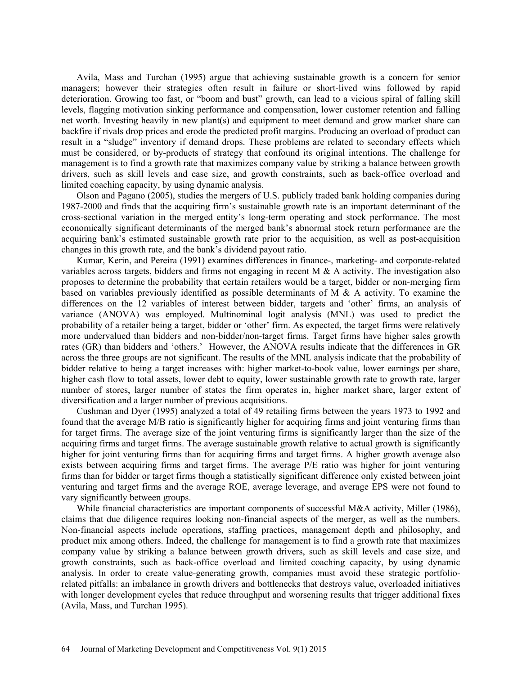Avila, Mass and Turchan (1995) argue that achieving sustainable growth is a concern for senior managers; however their strategies often result in failure or short-lived wins followed by rapid deterioration. Growing too fast, or "boom and bust" growth, can lead to a vicious spiral of falling skill levels, flagging motivation sinking performance and compensation, lower customer retention and falling net worth. Investing heavily in new plant(s) and equipment to meet demand and grow market share can backfire if rivals drop prices and erode the predicted profit margins. Producing an overload of product can result in a "sludge" inventory if demand drops. These problems are related to secondary effects which must be considered, or by-products of strategy that confound its original intentions. The challenge for management is to find a growth rate that maximizes company value by striking a balance between growth drivers, such as skill levels and case size, and growth constraints, such as back-office overload and limited coaching capacity, by using dynamic analysis.

Olson and Pagano (2005), studies the mergers of U.S. publicly traded bank holding companies during 1987-2000 and finds that the acquiring firm's sustainable growth rate is an important determinant of the cross-sectional variation in the merged entity's long-term operating and stock performance. The most economically significant determinants of the merged bank's abnormal stock return performance are the acquiring bank's estimated sustainable growth rate prior to the acquisition, as well as post-acquisition changes in this growth rate, and the bank's dividend payout ratio.

Kumar, Kerin, and Pereira (1991) examines differences in finance-, marketing- and corporate-related variables across targets, bidders and firms not engaging in recent M  $\&$  A activity. The investigation also proposes to determine the probability that certain retailers would be a target, bidder or non-merging firm based on variables previously identified as possible determinants of M  $\&$  A activity. To examine the differences on the 12 variables of interest between bidder, targets and 'other' firms, an analysis of variance (ANOVA) was employed. Multinominal logit analysis (MNL) was used to predict the probability of a retailer being a target, bidder or 'other' firm. As expected, the target firms were relatively more undervalued than bidders and non-bidder/non-target firms. Target firms have higher sales growth rates (GR) than bidders and 'others.' However, the ANOVA results indicate that the differences in GR across the three groups are not significant. The results of the MNL analysis indicate that the probability of bidder relative to being a target increases with: higher market-to-book value, lower earnings per share, higher cash flow to total assets, lower debt to equity, lower sustainable growth rate to growth rate, larger number of stores, larger number of states the firm operates in, higher market share, larger extent of diversification and a larger number of previous acquisitions.

Cushman and Dyer (1995) analyzed a total of 49 retailing firms between the years 1973 to 1992 and found that the average M/B ratio is significantly higher for acquiring firms and joint venturing firms than for target firms. The average size of the joint venturing firms is significantly larger than the size of the acquiring firms and target firms. The average sustainable growth relative to actual growth is significantly higher for joint venturing firms than for acquiring firms and target firms. A higher growth average also exists between acquiring firms and target firms. The average P/E ratio was higher for joint venturing firms than for bidder or target firms though a statistically significant difference only existed between joint venturing and target firms and the average ROE, average leverage, and average EPS were not found to vary significantly between groups.

While financial characteristics are important components of successful M&A activity, Miller (1986), claims that due diligence requires looking non-financial aspects of the merger, as well as the numbers. Non-financial aspects include operations, staffing practices, management depth and philosophy, and product mix among others. Indeed, the challenge for management is to find a growth rate that maximizes company value by striking a balance between growth drivers, such as skill levels and case size, and growth constraints, such as back-office overload and limited coaching capacity, by using dynamic analysis. In order to create value-generating growth, companies must avoid these strategic portfoliorelated pitfalls: an imbalance in growth drivers and bottlenecks that destroys value, overloaded initiatives with longer development cycles that reduce throughput and worsening results that trigger additional fixes (Avila, Mass, and Turchan 1995).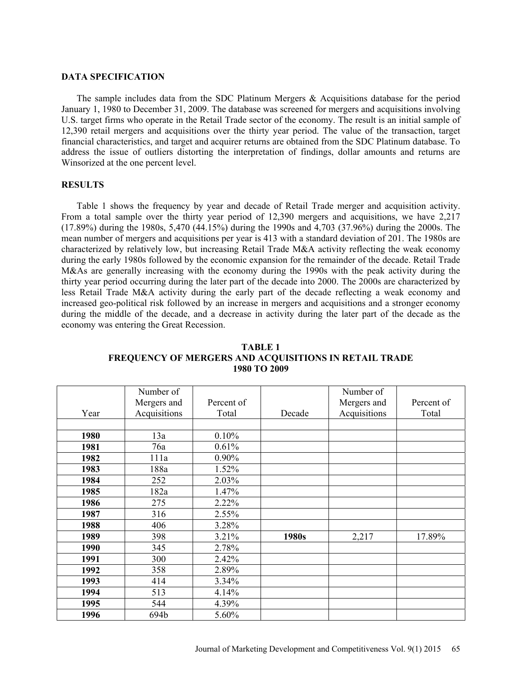#### **DATA SPECIFICATION**

The sample includes data from the SDC Platinum Mergers  $\&$  Acquisitions database for the period January 1, 1980 to December 31, 2009. The database was screened for mergers and acquisitions involving U.S. target firms who operate in the Retail Trade sector of the economy. The result is an initial sample of 12,390 retail mergers and acquisitions over the thirty year period. The value of the transaction, target financial characteristics, and target and acquirer returns are obtained from the SDC Platinum database. To address the issue of outliers distorting the interpretation of findings, dollar amounts and returns are Winsorized at the one percent level.

## **RESULTS**

Table 1 shows the frequency by year and decade of Retail Trade merger and acquisition activity. From a total sample over the thirty year period of 12,390 mergers and acquisitions, we have 2,217 (17.89%) during the 1980s, 5,470 (44.15%) during the 1990s and 4,703 (37.96%) during the 2000s. The mean number of mergers and acquisitions per year is 413 with a standard deviation of 201. The 1980s are characterized by relatively low, but increasing Retail Trade M&A activity reflecting the weak economy during the early 1980s followed by the economic expansion for the remainder of the decade. Retail Trade M&As are generally increasing with the economy during the 1990s with the peak activity during the thirty year period occurring during the later part of the decade into 2000. The 2000s are characterized by less Retail Trade M&A activity during the early part of the decade reflecting a weak economy and increased geo-political risk followed by an increase in mergers and acquisitions and a stronger economy during the middle of the decade, and a decrease in activity during the later part of the decade as the economy was entering the Great Recession.

|      | Number of    |            |        | Number of    |            |
|------|--------------|------------|--------|--------------|------------|
|      | Mergers and  | Percent of |        | Mergers and  | Percent of |
| Year | Acquisitions | Total      | Decade | Acquisitions | Total      |
|      |              |            |        |              |            |
| 1980 | 13a          | 0.10%      |        |              |            |
| 1981 | 76a          | 0.61%      |        |              |            |
| 1982 | 111a         | $0.90\%$   |        |              |            |
| 1983 | 188a         | 1.52%      |        |              |            |
| 1984 | 252          | 2.03%      |        |              |            |
| 1985 | 182a         | 1.47%      |        |              |            |
| 1986 | 275          | 2.22%      |        |              |            |
| 1987 | 316          | 2.55%      |        |              |            |
| 1988 | 406          | 3.28%      |        |              |            |
| 1989 | 398          | 3.21%      | 1980s  | 2,217        | 17.89%     |
| 1990 | 345          | 2.78%      |        |              |            |
| 1991 | 300          | 2.42%      |        |              |            |
| 1992 | 358          | 2.89%      |        |              |            |
| 1993 | 414          | 3.34%      |        |              |            |
| 1994 | 513          | 4.14%      |        |              |            |
| 1995 | 544          | 4.39%      |        |              |            |
| 1996 | 694b         | 5.60%      |        |              |            |

**TABLE 1 FREQUENCY OF MERGERS AND ACQUISITIONS IN RETAIL TRADE 1980 TO 2009**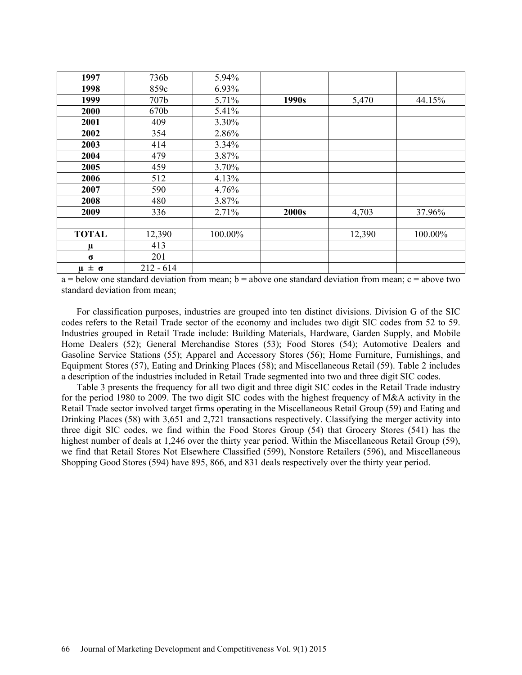| 1997             | 736b        | 5.94%   |       |        |         |
|------------------|-------------|---------|-------|--------|---------|
| 1998             | 859c        | 6.93%   |       |        |         |
| 1999             | 707b        | 5.71%   | 1990s | 5,470  | 44.15%  |
| 2000             | 670b        | 5.41%   |       |        |         |
| 2001             | 409         | 3.30%   |       |        |         |
| 2002             | 354         | 2.86%   |       |        |         |
| 2003             | 414         | 3.34%   |       |        |         |
| 2004             | 479         | 3.87%   |       |        |         |
| 2005             | 459         | 3.70%   |       |        |         |
| 2006             | 512         | 4.13%   |       |        |         |
| 2007             | 590         | 4.76%   |       |        |         |
| 2008             | 480         | 3.87%   |       |        |         |
| 2009             | 336         | 2.71%   | 2000s | 4,703  | 37.96%  |
|                  |             |         |       |        |         |
| <b>TOTAL</b>     | 12,390      | 100.00% |       | 12,390 | 100.00% |
| $\mu$            | 413         |         |       |        |         |
| $\sigma$         | 201         |         |       |        |         |
| $\mu \pm \sigma$ | $212 - 614$ |         |       |        |         |

 $a =$  below one standard deviation from mean; b = above one standard deviation from mean; c = above two standard deviation from mean;

For classification purposes, industries are grouped into ten distinct divisions. Division G of the SIC codes refers to the Retail Trade sector of the economy and includes two digit SIC codes from 52 to 59. Industries grouped in Retail Trade include: Building Materials, Hardware, Garden Supply, and Mobile Home Dealers (52); General Merchandise Stores (53); Food Stores (54); Automotive Dealers and Gasoline Service Stations (55); Apparel and Accessory Stores (56); Home Furniture, Furnishings, and Equipment Stores (57), Eating and Drinking Places (58); and Miscellaneous Retail (59). Table 2 includes a description of the industries included in Retail Trade segmented into two and three digit SIC codes.

Table 3 presents the frequency for all two digit and three digit SIC codes in the Retail Trade industry for the period 1980 to 2009. The two digit SIC codes with the highest frequency of M&A activity in the Retail Trade sector involved target firms operating in the Miscellaneous Retail Group (59) and Eating and Drinking Places (58) with 3,651 and 2,721 transactions respectively. Classifying the merger activity into three digit SIC codes, we find within the Food Stores Group (54) that Grocery Stores (541) has the highest number of deals at 1,246 over the thirty year period. Within the Miscellaneous Retail Group (59), we find that Retail Stores Not Elsewhere Classified (599), Nonstore Retailers (596), and Miscellaneous Shopping Good Stores (594) have 895, 866, and 831 deals respectively over the thirty year period.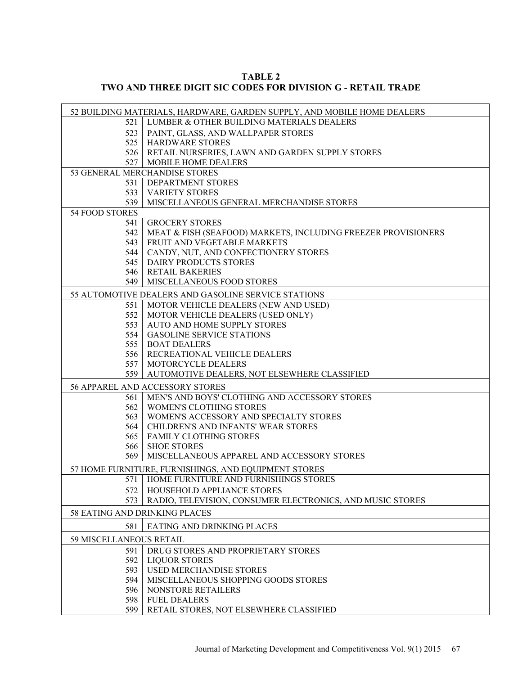| TABLE 2                                                            |  |
|--------------------------------------------------------------------|--|
| <b>TWO AND THREE DIGIT SIC CODES FOR DIVISION G - RETAIL TRADE</b> |  |

|                               | 52 BUILDING MATERIALS, HARDWARE, GARDEN SUPPLY, AND MOBILE HOME DEALERS |
|-------------------------------|-------------------------------------------------------------------------|
| 521                           | LUMBER & OTHER BUILDING MATERIALS DEALERS                               |
| 523                           | PAINT, GLASS, AND WALLPAPER STORES                                      |
|                               | 525   HARDWARE STORES                                                   |
|                               | 526   RETAIL NURSERIES, LAWN AND GARDEN SUPPLY STORES                   |
|                               | 527   MOBILE HOME DEALERS                                               |
|                               | 53 GENERAL MERCHANDISE STORES                                           |
|                               | 531   DEPARTMENT STORES                                                 |
| 533                           | <b>VARIETY STORES</b>                                                   |
| 539                           | MISCELLANEOUS GENERAL MERCHANDISE STORES                                |
| 54 FOOD STORES                |                                                                         |
| 541                           | <b>GROCERY STORES</b>                                                   |
| 542                           | MEAT & FISH (SEAFOOD) MARKETS, INCLUDING FREEZER PROVISIONERS           |
| 543                           | FRUIT AND VEGETABLE MARKETS                                             |
| 544                           | CANDY, NUT, AND CONFECTIONERY STORES                                    |
| 545                           | <b>DAIRY PRODUCTS STORES</b>                                            |
| 546                           | <b>RETAIL BAKERIES</b>                                                  |
|                               | 549   MISCELLANEOUS FOOD STORES                                         |
|                               | 55 AUTOMOTIVE DEALERS AND GASOLINE SERVICE STATIONS                     |
| 551                           | MOTOR VEHICLE DEALERS (NEW AND USED)                                    |
| 552                           | MOTOR VEHICLE DEALERS (USED ONLY)                                       |
| 553                           | AUTO AND HOME SUPPLY STORES                                             |
| 554                           | <b>GASOLINE SERVICE STATIONS</b>                                        |
| 555                           | <b>BOAT DEALERS</b>                                                     |
| 556                           | RECREATIONAL VEHICLE DEALERS                                            |
| 557                           | MOTORCYCLE DEALERS                                                      |
| 559                           | AUTOMOTIVE DEALERS, NOT ELSEWHERE CLASSIFIED                            |
|                               | 56 APPAREL AND ACCESSORY STORES                                         |
| 561 l                         | MEN'S AND BOYS' CLOTHING AND ACCESSORY STORES                           |
| 562                           | <b>WOMEN'S CLOTHING STORES</b>                                          |
| 563                           | WOMEN'S ACCESSORY AND SPECIALTY STORES                                  |
| 564                           | CHILDREN'S AND INFANTS' WEAR STORES                                     |
| 565                           | <b>FAMILY CLOTHING STORES</b>                                           |
| 566                           | <b>SHOE STORES</b>                                                      |
| 569                           | MISCELLANEOUS APPAREL AND ACCESSORY STORES                              |
|                               | 57 HOME FURNITURE, FURNISHINGS, AND EQUIPMENT STORES                    |
| 571                           | HOME FURNITURE AND FURNISHINGS STORES                                   |
|                               | 572   HOUSEHOLD APPLIANCE STORES                                        |
| 573                           | RADIO, TELEVISION, CONSUMER ELECTRONICS, AND MUSIC STORES               |
| 58 EATING AND DRINKING PLACES |                                                                         |
| 581                           | EATING AND DRINKING PLACES                                              |
| 59 MISCELLANEOUS RETAIL       |                                                                         |
| 591                           | DRUG STORES AND PROPRIETARY STORES                                      |
| 592                           | <b>LIQUOR STORES</b>                                                    |
| 593                           | <b>USED MERCHANDISE STORES</b>                                          |
| 594                           | MISCELLANEOUS SHOPPING GOODS STORES                                     |
| 596                           | NONSTORE RETAILERS                                                      |
| 598                           | <b>FUEL DEALERS</b>                                                     |
| 599                           | RETAIL STORES, NOT ELSEWHERE CLASSIFIED                                 |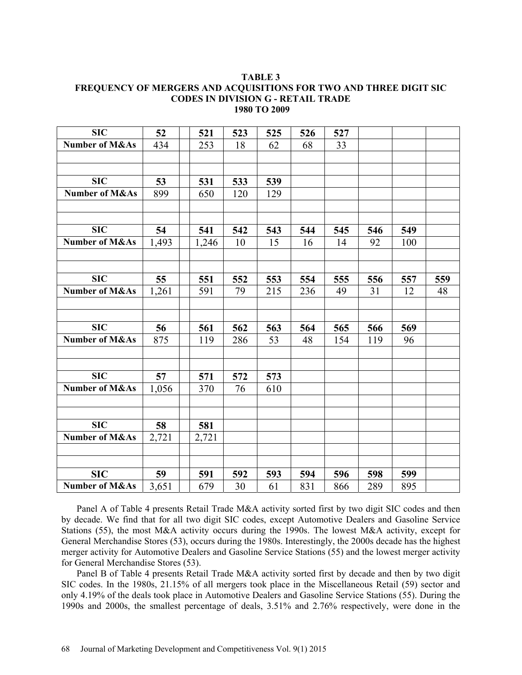#### **TABLE 3 FREQUENCY OF MERGERS AND ACQUISITIONS FOR TWO AND THREE DIGIT SIC CODES IN DIVISION G - RETAIL TRADE 1980 TO 2009**

| <b>SIC</b>                | 52                 | 521   | 523 | 525 | 526 | 527 |     |     |     |
|---------------------------|--------------------|-------|-----|-----|-----|-----|-----|-----|-----|
| <b>Number of M&amp;As</b> | 434                | 253   | 18  | 62  | 68  | 33  |     |     |     |
|                           |                    |       |     |     |     |     |     |     |     |
|                           |                    |       |     |     |     |     |     |     |     |
| <b>SIC</b>                | 53                 | 531   | 533 | 539 |     |     |     |     |     |
| <b>Number of M&amp;As</b> | 899                | 650   | 120 | 129 |     |     |     |     |     |
|                           |                    |       |     |     |     |     |     |     |     |
|                           |                    |       |     |     |     |     |     |     |     |
| <b>SIC</b>                | 54                 | 541   | 542 | 543 | 544 | 545 | 546 | 549 |     |
| <b>Number of M&amp;As</b> | 1,493              | 1,246 | 10  | 15  | 16  | 14  | 92  | 100 |     |
|                           |                    |       |     |     |     |     |     |     |     |
|                           |                    |       |     |     |     |     |     |     |     |
| <b>SIC</b>                | 55                 | 551   | 552 | 553 | 554 | 555 | 556 | 557 | 559 |
| Number of M&As            | $\overline{1,261}$ | 591   | 79  | 215 | 236 | 49  | 31  | 12  | 48  |
|                           |                    |       |     |     |     |     |     |     |     |
|                           |                    |       |     |     |     |     |     |     |     |
| <b>SIC</b>                | 56                 | 561   | 562 | 563 | 564 | 565 | 566 | 569 |     |
| Number of M&As            | $\overline{875}$   | 119   | 286 | 53  | 48  | 154 | 119 | 96  |     |
|                           |                    |       |     |     |     |     |     |     |     |
|                           |                    |       |     |     |     |     |     |     |     |
| <b>SIC</b>                | 57                 | 571   | 572 | 573 |     |     |     |     |     |
| Number of M&As            | 1,056              | 370   | 76  | 610 |     |     |     |     |     |
|                           |                    |       |     |     |     |     |     |     |     |
|                           |                    |       |     |     |     |     |     |     |     |
| $\overline{\text{SIC}}$   | 58                 | 581   |     |     |     |     |     |     |     |
| Number of M&As            | 2,721              | 2,721 |     |     |     |     |     |     |     |
|                           |                    |       |     |     |     |     |     |     |     |
|                           |                    |       |     |     |     |     |     |     |     |
| <b>SIC</b>                | 59                 | 591   | 592 | 593 | 594 | 596 | 598 | 599 |     |
| <b>Number of M&amp;As</b> | 3,651              | 679   | 30  | 61  | 831 | 866 | 289 | 895 |     |

Panel A of Table 4 presents Retail Trade M&A activity sorted first by two digit SIC codes and then by decade. We find that for all two digit SIC codes, except Automotive Dealers and Gasoline Service Stations (55), the most M&A activity occurs during the 1990s. The lowest M&A activity, except for General Merchandise Stores (53), occurs during the 1980s. Interestingly, the 2000s decade has the highest merger activity for Automotive Dealers and Gasoline Service Stations (55) and the lowest merger activity for General Merchandise Stores (53).

Panel B of Table 4 presents Retail Trade M&A activity sorted first by decade and then by two digit SIC codes. In the 1980s, 21.15% of all mergers took place in the Miscellaneous Retail (59) sector and only 4.19% of the deals took place in Automotive Dealers and Gasoline Service Stations (55). During the 1990s and 2000s, the smallest percentage of deals, 3.51% and 2.76% respectively, were done in the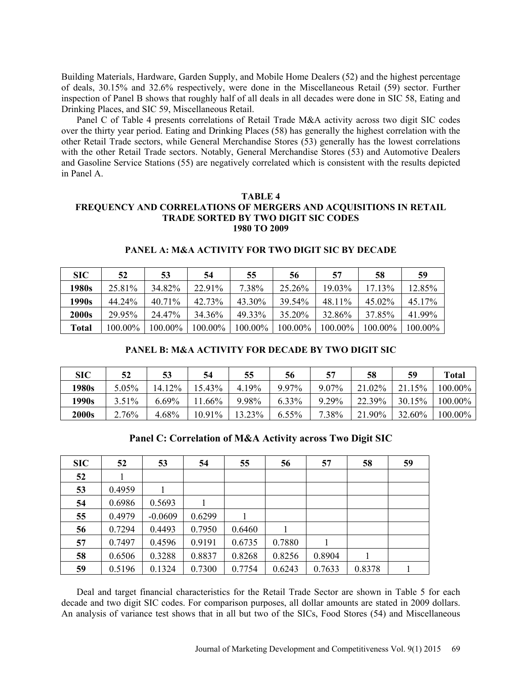Building Materials, Hardware, Garden Supply, and Mobile Home Dealers (52) and the highest percentage of deals, 30.15% and 32.6% respectively, were done in the Miscellaneous Retail (59) sector. Further inspection of Panel B shows that roughly half of all deals in all decades were done in SIC 58, Eating and Drinking Places, and SIC 59, Miscellaneous Retail.

Panel C of Table 4 presents correlations of Retail Trade M&A activity across two digit SIC codes over the thirty year period. Eating and Drinking Places (58) has generally the highest correlation with the other Retail Trade sectors, while General Merchandise Stores (53) generally has the lowest correlations with the other Retail Trade sectors. Notably, General Merchandise Stores (53) and Automotive Dealers and Gasoline Service Stations (55) are negatively correlated which is consistent with the results depicted in Panel A.

## **TABLE 4 FREQUENCY AND CORRELATIONS OF MERGERS AND ACQUISITIONS IN RETAIL TRADE SORTED BY TWO DIGIT SIC CODES 1980 TO 2009**

| SIC          | 52      | 53        | 54      | 55      | 56      | 57      | 58      | 59      |
|--------------|---------|-----------|---------|---------|---------|---------|---------|---------|
| 1980s        | 25.81%  | 34.82%    | 22.91%  | 7.38%   | 25.26%  | 19.03%  | 17.13%  | 12.85%  |
| 1990s        | 44.24%  | $40.71\%$ | 42.73%  | 43.30%  | 39.54%  | 48.11%  | 45.02%  | 45.17%  |
| <b>2000s</b> | 29.95%  | 24.47%    | 34.36%  | 49.33%  | 35.20%  | 32.86%  | 37.85%  | 41.99%  |
| Total        | 100.00% | 100.00%   | 100.00% | 100.00% | 100.00% | 100.00% | 100.00% | 100.00% |

## **PANEL A: M&A ACTIVITY FOR TWO DIGIT SIC BY DECADE**

## **PANEL B: M&A ACTIVITY FOR DECADE BY TWO DIGIT SIC**

| <b>SIC</b>   | 52       | 53     | 54     | 55     | 56    | 57    | 58     | 59        | <b>Total</b> |
|--------------|----------|--------|--------|--------|-------|-------|--------|-----------|--------------|
| 1980s        | $5.05\%$ | 14.12% | 15.43% | 4.19%  | 9.97% | 9.07% | 21.02% | 15%<br>21 | 100.00%      |
| 1990s        | $3.51\%$ | 6.69%  | .66%   | 9.98%  | 6.33% | 9.29% | 22.39% | 30.15%    | $100.00\%$   |
| <b>2000s</b> | $2.76\%$ | 4.68%  | 10.91% | 13.23% | 6.55% | 7.38% | 21.90% | 32.60%    | 100.00%      |

**Panel C: Correlation of M&A Activity across Two Digit SIC**

| SIC | 52     | 53        | 54     | 55     | 56     | 57     | 58     | 59 |
|-----|--------|-----------|--------|--------|--------|--------|--------|----|
| 52  |        |           |        |        |        |        |        |    |
| 53  | 0.4959 |           |        |        |        |        |        |    |
| 54  | 0.6986 | 0.5693    |        |        |        |        |        |    |
| 55  | 0.4979 | $-0.0609$ | 0.6299 |        |        |        |        |    |
| 56  | 0.7294 | 0.4493    | 0.7950 | 0.6460 |        |        |        |    |
| 57  | 0.7497 | 0.4596    | 0.9191 | 0.6735 | 0.7880 |        |        |    |
| 58  | 0.6506 | 0.3288    | 0.8837 | 0.8268 | 0.8256 | 0.8904 |        |    |
| 59  | 0.5196 | 0.1324    | 0.7300 | 0.7754 | 0.6243 | 0.7633 | 0.8378 |    |

Deal and target financial characteristics for the Retail Trade Sector are shown in Table 5 for each decade and two digit SIC codes. For comparison purposes, all dollar amounts are stated in 2009 dollars. An analysis of variance test shows that in all but two of the SICs, Food Stores (54) and Miscellaneous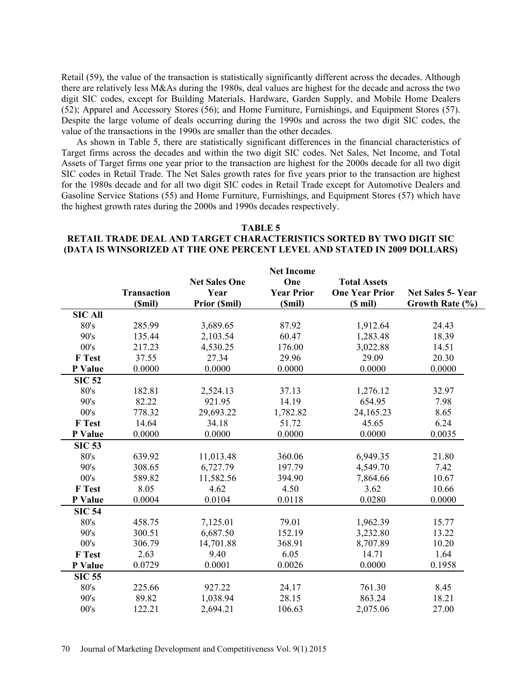Retail (59), the value of the transaction is statistically significantly different across the decades. Although there are relatively less M&As during the 1980s, deal values are highest for the decade and across the two digit SIC codes, except for Building Materials, Hardware, Garden Supply, and Mobile Home Dealers (52); Apparel and Accessory Stores (56); and Home Furniture, Furnishings, and Equipment Stores (57). Despite the large volume of deals occurring during the 1990s and across the two digit SIC codes, the value of the transactions in the 1990s are smaller than the other decades.

As shown in Table 5, there are statistically significant differences in the financial characteristics of Target firms across the decades and within the two digit SIC codes. Net Sales, Net Income, and Total Assets of Target firms one year prior to the transaction are highest for the 2000s decade for all two digit SIC codes in Retail Trade. The Net Sales growth rates for five years prior to the transaction are highest for the 1980s decade and for all two digit SIC codes in Retail Trade except for Automotive Dealers and Gasoline Service Stations (55) and Home Furniture, Furnishings, and Equipment Stores (57) which have the highest growth rates during the 2000s and 1990s decades respectively.

#### **TABLE 5**

## **RETAIL TRADE DEAL AND TARGET CHARACTERISTICS SORTED BY TWO DIGIT SIC (DATA IS WINSORIZED AT THE ONE PERCENT LEVEL AND STATED IN 2009 DOLLARS)**

|                |                    |                      | <b>Net Income</b> |                       |                          |
|----------------|--------------------|----------------------|-------------------|-----------------------|--------------------------|
|                |                    | <b>Net Sales One</b> | One               | <b>Total Assets</b>   |                          |
|                | <b>Transaction</b> | Year                 | <b>Year Prior</b> | <b>One Year Prior</b> | <b>Net Sales 5- Year</b> |
|                | (Smil)             | <b>Prior (Smil)</b>  | (\$mil)           | $(S \text{ mil})$     | Growth Rate (%)          |
| <b>SIC All</b> |                    |                      |                   |                       |                          |
| 80's           | 285.99             | 3,689.65             | 87.92             | 1,912.64              | 24.43                    |
| 90's           | 135.44             | 2,103.54             | 60.47             | 1,283.48              | 18.39                    |
| 00's           | 217.23             | 4,530.25             | 176.00            | 3,022.88              | 14.51                    |
| F Test         | 37.55              | 27.34                | 29.96             | 29.09                 | 20.30                    |
| P Value        | 0.0000             | 0.0000               | 0.0000            | 0.0000                | 0.0000                   |
| <b>SIC 52</b>  |                    |                      |                   |                       |                          |
| 80's           | 182.81             | 2,524.13             | 37.13             | 1,276.12              | 32.97                    |
| 90's           | 82.22              | 921.95               | 14.19             | 654.95                | 7.98                     |
| 00's           | 778.32             | 29,693.22            | 1,782.82          | 24,165.23             | 8.65                     |
| F Test         | 14.64              | 34.18                | 51.72             | 45.65                 | 6.24                     |
| P Value        | 0.0000             | 0.0000               | 0.0000            | 0.0000                | 0.0035                   |
| <b>SIC 53</b>  |                    |                      |                   |                       |                          |
| 80's           | 639.92             | 11,013.48            | 360.06            | 6,949.35              | 21.80                    |
| 90's           | 308.65             | 6,727.79             | 197.79            | 4,549.70              | 7.42                     |
| 00's           | 589.82             | 11,582.56            | 394.90            | 7,864.66              | 10.67                    |
| F Test         | 8.05               | 4.62                 | 4.50              | 3.62                  | 10.66                    |
| P Value        | 0.0004             | 0.0104               | 0.0118            | 0.0280                | 0.0000                   |
| <b>SIC 54</b>  |                    |                      |                   |                       |                          |
| 80's           | 458.75             | 7,125.01             | 79.01             | 1,962.39              | 15.77                    |
| 90's           | 300.51             | 6,687.50             | 152.19            | 3,232.80              | 13.22                    |
| 00's           | 306.79             | 14,701.88            | 368.91            | 8,707.89              | 10.20                    |
| F Test         | 2.63               | 9.40                 | 6.05              | 14.71                 | 1.64                     |
| P Value        | 0.0729             | 0.0001               | 0.0026            | 0.0000                | 0.1958                   |
| <b>SIC 55</b>  |                    |                      |                   |                       |                          |
| 80's           | 225.66             | 927.22               | 24.17             | 761.30                | 8.45                     |
| 90's           | 89.82              | 1,038.94             | 28.15             | 863.24                | 18.21                    |
| 00's           | 122.21             | 2,694.21             | 106.63            | 2,075.06              | 27.00                    |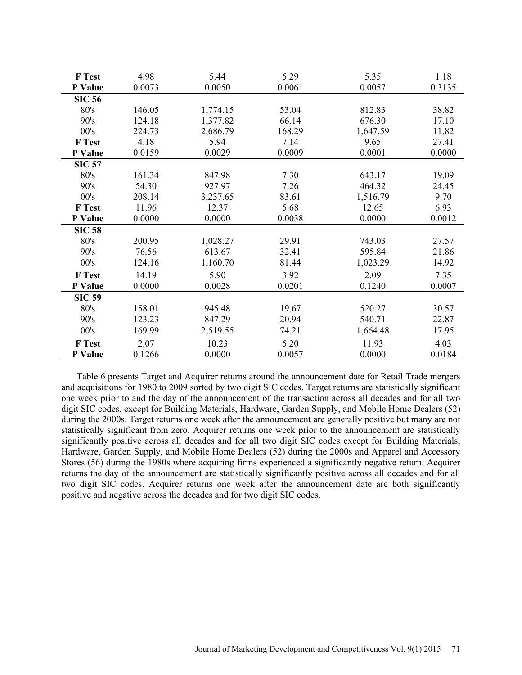| F Test        | 4.98   | 5.44     | 5.29   | 5.35     | 1.18   |
|---------------|--------|----------|--------|----------|--------|
| P Value       | 0.0073 | 0.0050   | 0.0061 | 0.0057   | 0.3135 |
| <b>SIC 56</b> |        |          |        |          |        |
| 80's          | 146.05 | 1,774.15 | 53.04  | 812.83   | 38.82  |
| 90's          | 124.18 | 1,377.82 | 66.14  | 676.30   | 17.10  |
| 00's          | 224.73 | 2,686.79 | 168.29 | 1,647.59 | 11.82  |
| <b>F</b> Test | 4.18   | 5.94     | 7.14   | 9.65     | 27.41  |
| P Value       | 0.0159 | 0.0029   | 0.0009 | 0.0001   | 0.0000 |
| <b>SIC 57</b> |        |          |        |          |        |
| 80's          | 161.34 | 847.98   | 7.30   | 643.17   | 19.09  |
| 90's          | 54.30  | 927.97   | 7.26   | 464.32   | 24.45  |
| 00's          | 208.14 | 3,237.65 | 83.61  | 1,516.79 | 9.70   |
| <b>F</b> Test | 11.96  | 12.37    | 5.68   | 12.65    | 6.93   |
| P Value       | 0.0000 | 0.0000   | 0.0038 | 0.0000   | 0.0012 |
| <b>SIC 58</b> |        |          |        |          |        |
| 80's          | 200.95 | 1,028.27 | 29.91  | 743.03   | 27.57  |
| 90's          | 76.56  | 613.67   | 32.41  | 595.84   | 21.86  |
| 00's          | 124.16 | 1,160.70 | 81.44  | 1,023.29 | 14.92  |
| <b>F</b> Test | 14.19  | 5.90     | 3.92   | 2.09     | 7.35   |
| P Value       | 0.0000 | 0.0028   | 0.0201 | 0.1240   | 0.0007 |
| <b>SIC 59</b> |        |          |        |          |        |
| 80's          | 158.01 | 945.48   | 19.67  | 520.27   | 30.57  |
| 90's          | 123.23 | 847.29   | 20.94  | 540.71   | 22.87  |
| 00's          | 169.99 | 2,519.55 | 74.21  | 1,664.48 | 17.95  |
| <b>F</b> Test | 2.07   | 10.23    | 5.20   | 11.93    | 4.03   |
| P Value       | 0.1266 | 0.0000   | 0.0057 | 0.0000   | 0.0184 |

Table 6 presents Target and Acquirer returns around the announcement date for Retail Trade mergers and acquisitions for 1980 to 2009 sorted by two digit SIC codes. Target returns are statistically significant one week prior to and the day of the announcement of the transaction across all decades and for all two digit SIC codes, except for Building Materials, Hardware, Garden Supply, and Mobile Home Dealers (52) during the 2000s. Target returns one week after the announcement are generally positive but many are not statistically significant from zero. Acquirer returns one week prior to the announcement are statistically significantly positive across all decades and for all two digit SIC codes except for Building Materials, Hardware, Garden Supply, and Mobile Home Dealers (52) during the 2000s and Apparel and Accessory Stores (56) during the 1980s where acquiring firms experienced a significantly negative return. Acquirer returns the day of the announcement are statistically significantly positive across all decades and for all two digit SIC codes. Acquirer returns one week after the announcement date are both significantly positive and negative across the decades and for two digit SIC codes.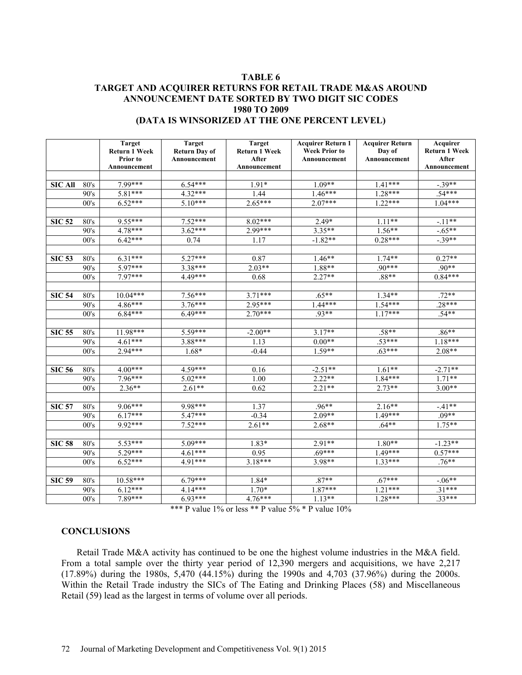## **TABLE 6 TARGET AND ACQUIRER RETURNS FOR RETAIL TRADE M&AS AROUND ANNOUNCEMENT DATE SORTED BY TWO DIGIT SIC CODES 1980 TO 2009 (DATA IS WINSORIZED AT THE ONE PERCENT LEVEL)**

|                |      | <b>Target</b><br><b>Return 1 Week</b><br>Prior to<br>Announcement | <b>Target</b><br><b>Return Day of</b><br>Announcement | <b>Target</b><br><b>Return 1 Week</b><br>After<br>Announcement | <b>Acquirer Return 1</b><br><b>Week Prior to</b><br>Announcement | <b>Acquirer Return</b><br>Day of<br>Announcement | Acquirer<br><b>Return 1 Week</b><br>After<br>Announcement |
|----------------|------|-------------------------------------------------------------------|-------------------------------------------------------|----------------------------------------------------------------|------------------------------------------------------------------|--------------------------------------------------|-----------------------------------------------------------|
|                |      |                                                                   |                                                       |                                                                |                                                                  |                                                  |                                                           |
| <b>SIC All</b> | 80's | 7.99***                                                           | $6.54***$                                             | $1.91*$                                                        | $1.09**$                                                         | $1.41***$                                        | $-.39**$                                                  |
|                | 90's | 5.81***                                                           | $4.32***$                                             | 1.44                                                           | $1.46***$                                                        | $1.28***$                                        | $.54***$                                                  |
|                | 00's | $6.52***$                                                         | $5.10***$                                             | $2.65***$                                                      | $2.07***$                                                        | $1.22***$                                        | $1.04***$                                                 |
| <b>SIC 52</b>  | 80's | $9.55***$                                                         | $7.52***$                                             | $8.02***$                                                      | $2.49*$                                                          | $1.11**$                                         | $-.11**$                                                  |
|                | 90's | $4.78***$                                                         | $3.62***$                                             | 2.99***                                                        | $3.35**$                                                         | $1.56**$                                         | $-.65**$                                                  |
|                | 00's | $6.42***$                                                         | 0.74                                                  | 1.17                                                           | $-1.82**$                                                        | $0.28***$                                        | $-.39**$                                                  |
|                |      |                                                                   |                                                       |                                                                |                                                                  |                                                  |                                                           |
| <b>SIC 53</b>  | 80's | $6.31***$                                                         | $5.27***$                                             | 0.87                                                           | $1.46**$                                                         | $1.74**$                                         | $0.27**$                                                  |
|                | 90's | 5.97***                                                           | 3.38***                                               | $2.03**$                                                       | 1.88**                                                           | $.90***$                                         | $.90**$                                                   |
|                | 00's | 7.97***                                                           | 4.49***                                               | 0.68                                                           | $2.27**$                                                         | $.88**$                                          | $0.84***$                                                 |
|                |      |                                                                   |                                                       |                                                                |                                                                  |                                                  |                                                           |
| <b>SIC 54</b>  | 80's | $10.04***$                                                        | $7.56***$                                             | $3.71***$                                                      | $.65**$                                                          | $1.34**$                                         | $.72**$                                                   |
|                | 90's | $4.86***$                                                         | $3.76***$                                             | $2.95***$                                                      | $1.44***$                                                        | $1.54***$                                        | $.28***$                                                  |
|                | 00's | $6.84***$                                                         | $6.49***$                                             | $2.70***$                                                      | .93**                                                            | $1.17***$                                        | $.54**$                                                   |
|                |      |                                                                   |                                                       |                                                                |                                                                  |                                                  |                                                           |
| <b>SIC 55</b>  | 80's | 11.98***                                                          | 5.59***                                               | $-2.00**$                                                      | $3.17**$                                                         | $.58**$                                          | $.86**$                                                   |
|                | 90's | $4.61***$                                                         | $3.88***$                                             | 1.13                                                           | $0.00**$                                                         | $.53***$                                         | $1.18***$                                                 |
|                | 00's | $2.94***$                                                         | 1.68*                                                 | $-0.44$                                                        | 1.59**                                                           | $.63***$                                         | 2.08**                                                    |
|                |      |                                                                   |                                                       |                                                                |                                                                  |                                                  |                                                           |
| <b>SIC 56</b>  | 80's | $4.00***$                                                         | $4.59***$                                             | 0.16                                                           | $-2.51**$                                                        | $1.61**$                                         | $-2.71**$                                                 |
|                | 90's | $7.96***$                                                         | $5.02***$                                             | 1.00                                                           | $2.22**$                                                         | 1.84***                                          | $1.71**$                                                  |
|                | 00's | $2.36**$                                                          | $2.61**$                                              | 0.62                                                           | $2.21**$                                                         | $2.73**$                                         | $3.00**$                                                  |
|                |      |                                                                   |                                                       |                                                                |                                                                  |                                                  |                                                           |
| <b>SIC 57</b>  | 80's | 9.06***                                                           | 9.98***                                               | 1.37                                                           | $.96**$                                                          | $2.16**$                                         | $-41**$                                                   |
|                | 90's | $6.17***$                                                         | $5.47***$                                             | $-0.34$                                                        | $2.09**$                                                         | $1.49***$                                        | $.09**$                                                   |
|                | 00's | 9.92***                                                           | $7.52***$                                             | $2.61**$                                                       | $2.68**$                                                         | $.64**$                                          | $1.75**$                                                  |
|                |      |                                                                   |                                                       |                                                                |                                                                  |                                                  |                                                           |
| <b>SIC 58</b>  | 80's | $5.53***$                                                         | $5.09***$                                             | $1.83*$                                                        | $2.91**$                                                         | $1.80**$                                         | $-1.23**$                                                 |
|                | 90's | $5.29***$                                                         | $4.61***$                                             | 0.95                                                           | $.69***$                                                         | $1.49***$                                        | $0.57***$                                                 |
|                | 00's | $6.52***$                                                         | $4.91***$                                             | $3.18***$                                                      | 3.98**                                                           | $1.33***$                                        | $.76**$                                                   |
|                |      |                                                                   |                                                       |                                                                |                                                                  |                                                  |                                                           |
| <b>SIC 59</b>  | 80's | 10.58***                                                          | $6.79***$                                             | 1.84*                                                          | $.87**$                                                          | $.67***$                                         | $-.06**$                                                  |
|                | 90's | $6.12***$                                                         | $4.14***$                                             | $1.70*$                                                        | 1.87***                                                          | $1.21***$                                        | $.31***$                                                  |
|                | 00's | 7.89***                                                           | 6.93***                                               | 4.76***                                                        | $1.13**$                                                         | 1.28***                                          | $.33***$                                                  |

\*\*\* P value 1% or less \*\* P value 5% \* P value 10%

#### **CONCLUSIONS**

Retail Trade M&A activity has continued to be one the highest volume industries in the M&A field. From a total sample over the thirty year period of 12,390 mergers and acquisitions, we have 2,217 (17.89%) during the 1980s, 5,470 (44.15%) during the 1990s and 4,703 (37.96%) during the 2000s. Within the Retail Trade industry the SICs of The Eating and Drinking Places (58) and Miscellaneous Retail (59) lead as the largest in terms of volume over all periods.